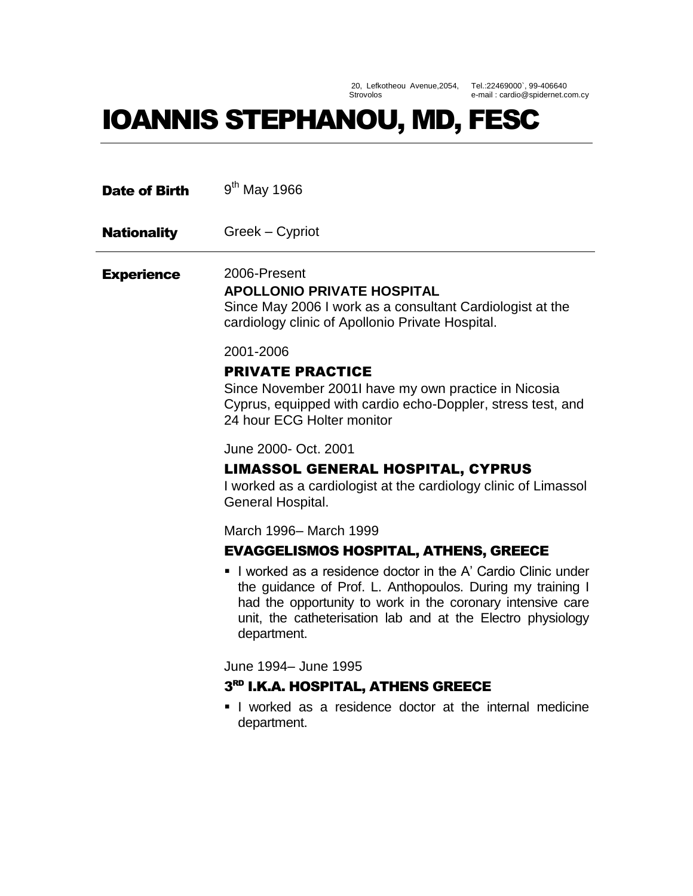20, Lefkotheou Avenue,2054, Strovolos

Tel.:22469000`, 99-406640 e-mail : cardio@spidernet.com.cy

# IOANNIS STEPHANOU, MD, FESC

| <b>Date of Birth</b> | $9th$ May 1966                                                                                                                                                                                                                                                         |
|----------------------|------------------------------------------------------------------------------------------------------------------------------------------------------------------------------------------------------------------------------------------------------------------------|
| <b>Nationality</b>   | Greek – Cypriot                                                                                                                                                                                                                                                        |
| <b>Experience</b>    | 2006-Present<br><b>APOLLONIO PRIVATE HOSPITAL</b><br>Since May 2006 I work as a consultant Cardiologist at the<br>cardiology clinic of Apollonio Private Hospital.                                                                                                     |
|                      | 2001-2006                                                                                                                                                                                                                                                              |
|                      | <b>PRIVATE PRACTICE</b><br>Since November 2001I have my own practice in Nicosia<br>Cyprus, equipped with cardio echo-Doppler, stress test, and<br>24 hour ECG Holter monitor                                                                                           |
|                      | June 2000- Oct. 2001                                                                                                                                                                                                                                                   |
|                      | <b>LIMASSOL GENERAL HOSPITAL, CYPRUS</b><br>I worked as a cardiologist at the cardiology clinic of Limassol<br>General Hospital.                                                                                                                                       |
|                      | March 1996- March 1999                                                                                                                                                                                                                                                 |
|                      | <b>EVAGGELISMOS HOSPITAL, ATHENS, GREECE</b>                                                                                                                                                                                                                           |
|                      | I worked as a residence doctor in the A' Cardio Clinic under<br>the guidance of Prof. L. Anthopoulos. During my training I<br>had the opportunity to work in the coronary intensive care<br>unit, the catheterisation lab and at the Electro physiology<br>department. |
|                      | June 1994 - June 1995                                                                                                                                                                                                                                                  |
|                      | 3RD I.K.A. HOSPITAL, ATHENS GREECE                                                                                                                                                                                                                                     |
|                      | I worked as a residence doctor at the internal medicine<br>department.                                                                                                                                                                                                 |
|                      |                                                                                                                                                                                                                                                                        |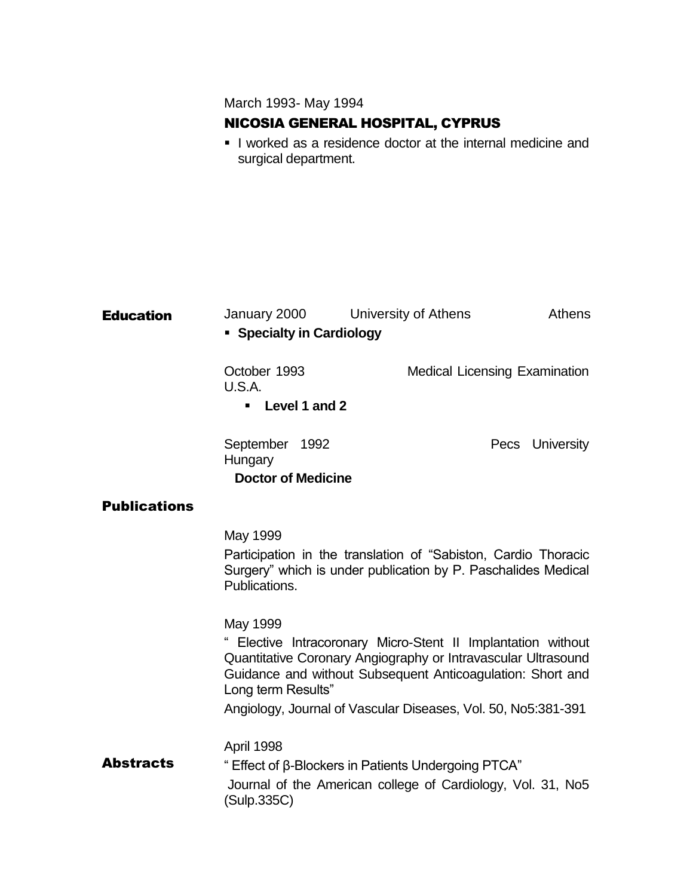March 1993- May 1994

# NICOSIA GENERAL HOSPITAL, CYPRUS

I worked as a residence doctor at the internal medicine and surgical department.

| <b>Education</b>    | January 2000<br>• Specialty in Cardiology                                                                                                                                                                                                                                                      |  | University of Athens |                                      |  | <b>Athens</b>   |
|---------------------|------------------------------------------------------------------------------------------------------------------------------------------------------------------------------------------------------------------------------------------------------------------------------------------------|--|----------------------|--------------------------------------|--|-----------------|
|                     | October 1993<br>U.S.A.<br>• Level 1 and 2                                                                                                                                                                                                                                                      |  |                      | <b>Medical Licensing Examination</b> |  |                 |
|                     |                                                                                                                                                                                                                                                                                                |  |                      |                                      |  |                 |
|                     | September 1992<br>Hungary                                                                                                                                                                                                                                                                      |  |                      |                                      |  | Pecs University |
|                     | <b>Doctor of Medicine</b>                                                                                                                                                                                                                                                                      |  |                      |                                      |  |                 |
| <b>Publications</b> |                                                                                                                                                                                                                                                                                                |  |                      |                                      |  |                 |
|                     | May 1999<br>Participation in the translation of "Sabiston, Cardio Thoracic<br>Surgery" which is under publication by P. Paschalides Medical<br>Publications.                                                                                                                                   |  |                      |                                      |  |                 |
|                     | May 1999<br>" Elective Intracoronary Micro-Stent II Implantation without<br>Quantitative Coronary Angiography or Intravascular Ultrasound<br>Guidance and without Subsequent Anticoagulation: Short and<br>Long term Results"<br>Angiology, Journal of Vascular Diseases, Vol. 50, No5:381-391 |  |                      |                                      |  |                 |
| <b>Abstracts</b>    | April 1998<br>" Effect of β-Blockers in Patients Undergoing PTCA"<br>Journal of the American college of Cardiology, Vol. 31, No5<br>(Sulp.335C)                                                                                                                                                |  |                      |                                      |  |                 |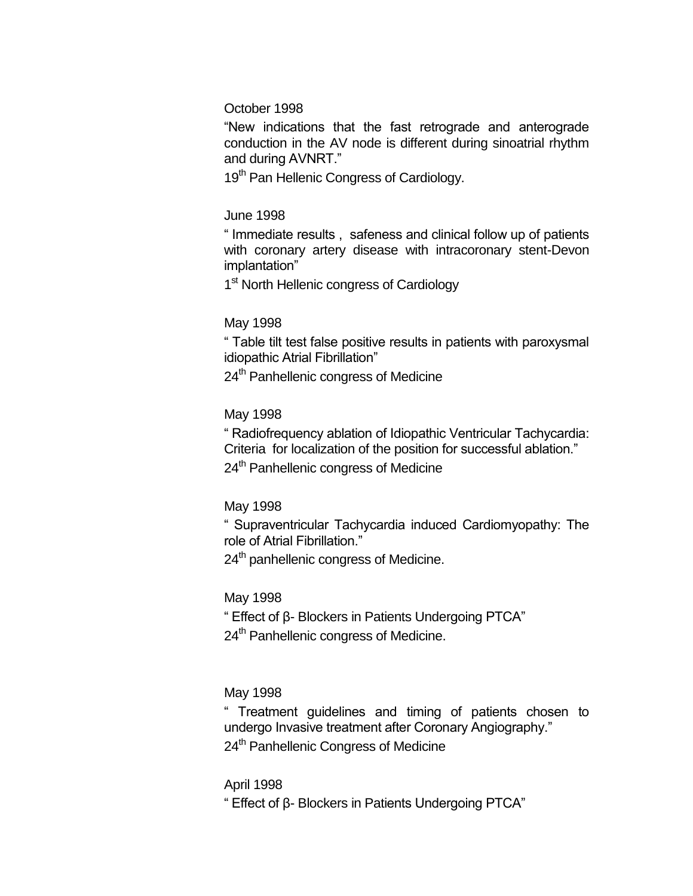#### October 1998

"New indications that the fast retrograde and anterograde conduction in the AV node is different during sinoatrial rhythm and during AVNRT."

19<sup>th</sup> Pan Hellenic Congress of Cardiology.

#### June 1998

" Immediate results , safeness and clinical follow up of patients with coronary artery disease with intracoronary stent-Devon implantation"

1<sup>st</sup> North Hellenic congress of Cardiology

#### May 1998

" Table tilt test false positive results in patients with paroxysmal idiopathic Atrial Fibrillation"

24<sup>th</sup> Panhellenic congress of Medicine

#### May 1998

" Radiofrequency ablation of Idiopathic Ventricular Tachycardia: Criteria for localization of the position for successful ablation."

24<sup>th</sup> Panhellenic congress of Medicine

# May 1998

" Supraventricular Tachycardia induced Cardiomyopathy: The role of Atrial Fibrillation."

24<sup>th</sup> panhellenic congress of Medicine.

# May 1998

" Effect of β- Blockers in Patients Undergoing PTCA"

24<sup>th</sup> Panhellenic congress of Medicine.

# May 1998

" Treatment guidelines and timing of patients chosen to undergo Invasive treatment after Coronary Angiography." 24<sup>th</sup> Panhellenic Congress of Medicine

#### April 1998

" Effect of β- Blockers in Patients Undergoing PTCA"